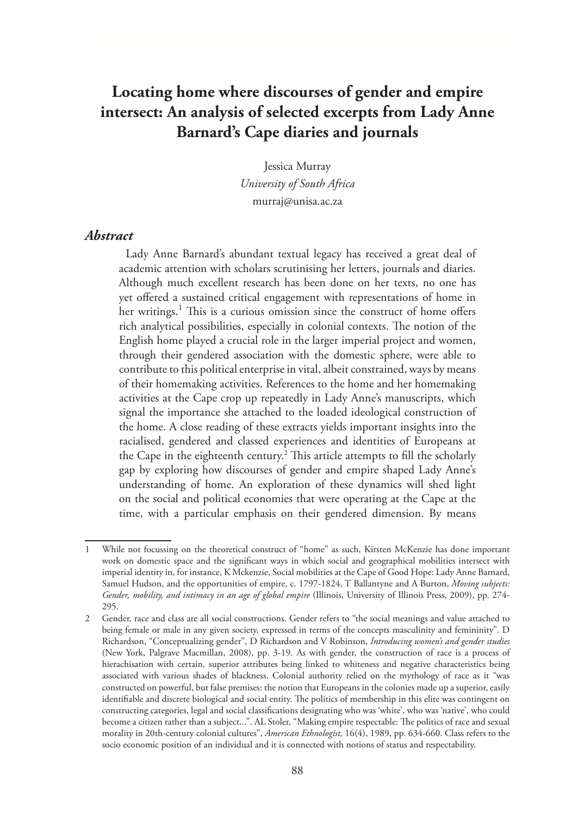# **Locating home where discourses of gender and empire intersect: An analysis of selected excerpts from Lady Anne Barnard's Cape diaries and journals**

Jessica Murray *University of South Africa* murraj@unisa.ac.za

#### *Abstract*

Lady Anne Barnard's abundant textual legacy has received a great deal of academic attention with scholars scrutinising her letters, journals and diaries. Although much excellent research has been done on her texts, no one has yet offered a sustained critical engagement with representations of home in her writings.<sup>1</sup> This is a curious omission since the construct of home offers rich analytical possibilities, especially in colonial contexts. The notion of the English home played a crucial role in the larger imperial project and women, through their gendered association with the domestic sphere, were able to contribute to this political enterprise in vital, albeit constrained, ways by means of their homemaking activities. References to the home and her homemaking activities at the Cape crop up repeatedly in Lady Anne's manuscripts, which signal the importance she attached to the loaded ideological construction of the home. A close reading of these extracts yields important insights into the racialised, gendered and classed experiences and identities of Europeans at the Cape in the eighteenth century.<sup>2</sup> This article attempts to fill the scholarly gap by exploring how discourses of gender and empire shaped Lady Anne's understanding of home. An exploration of these dynamics will shed light on the social and political economies that were operating at the Cape at the time, with a particular emphasis on their gendered dimension. By means

<sup>1</sup> While not focussing on the theoretical construct of "home" as such, Kirsten McKenzie has done important work on domestic space and the significant ways in which social and geographical mobilities intersect with imperial identity in, for instance, K Mckenzie, Social mobilities at the Cape of Good Hope: Lady Anne Barnard, Samuel Hudson, and the opportunities of empire, c. 1797-1824, T Ballantyne and A Burton, *Moving subjects: Gender, mobility, and intimacy in an age of global empire* (Illinois, University of Illinois Press, 2009), pp. 274- 295.

<sup>2</sup> Gender, race and class are all social constructions. Gender refers to "the social meanings and value attached to being female or male in any given society, expressed in terms of the concepts masculinity and femininity". D Richardson, "Conceptualizing gender", D Richardson and V Robinson, *Introducing women's and gender studies*  (New York, Palgrave Macmillan, 2008), pp. 3-19. As with gender, the construction of race is a process of hierachisation with certain, superior attributes being linked to whiteness and negative characteristics being associated with various shades of blackness. Colonial authority relied on the mythology of race as it "was constructed on powerful, but false premises: the notion that Europeans in the colonies made up a superior, easily identifiable and discrete biological and social entity. The politics of membership in this elite was contingent on constructing categories, legal and social classifications designating who was 'white', who was 'native', who could become a citizen rather than a subject...". AL Stoler, "Making empire respectable: The politics of race and sexual morality in 20th-century colonial cultures", *American Ethnologist,* 16(4), 1989, pp. 634-660. Class refers to the socio economic position of an individual and it is connected with notions of status and respectability.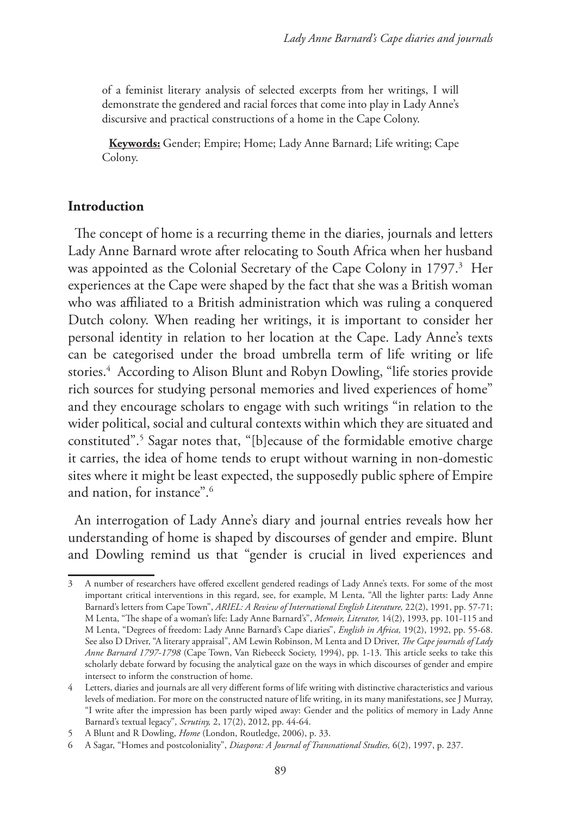of a feminist literary analysis of selected excerpts from her writings, I will demonstrate the gendered and racial forces that come into play in Lady Anne's discursive and practical constructions of a home in the Cape Colony.

**Keywords:** Gender; Empire; Home; Lady Anne Barnard; Life writing; Cape Colony.

## **Introduction**

The concept of home is a recurring theme in the diaries, journals and letters Lady Anne Barnard wrote after relocating to South Africa when her husband was appointed as the Colonial Secretary of the Cape Colony in 1797.3 Her experiences at the Cape were shaped by the fact that she was a British woman who was affiliated to a British administration which was ruling a conquered Dutch colony. When reading her writings, it is important to consider her personal identity in relation to her location at the Cape. Lady Anne's texts can be categorised under the broad umbrella term of life writing or life stories.4 According to Alison Blunt and Robyn Dowling, "life stories provide rich sources for studying personal memories and lived experiences of home" and they encourage scholars to engage with such writings "in relation to the wider political, social and cultural contexts within which they are situated and constituted".5 Sagar notes that, "[b]ecause of the formidable emotive charge it carries, the idea of home tends to erupt without warning in non-domestic sites where it might be least expected, the supposedly public sphere of Empire and nation, for instance".6

An interrogation of Lady Anne's diary and journal entries reveals how her understanding of home is shaped by discourses of gender and empire. Blunt and Dowling remind us that "gender is crucial in lived experiences and

<sup>3</sup> A number of researchers have offered excellent gendered readings of Lady Anne's texts. For some of the most important critical interventions in this regard, see, for example, M Lenta, "All the lighter parts: Lady Anne Barnard's letters from Cape Town", *ARIEL: A Review of International English Literature,* 22(2), 1991, pp. 57-71; M Lenta, "The shape of a woman's life: Lady Anne Barnard's", *Memoir, Literator,* 14(2), 1993, pp. 101-115 and M Lenta, "Degrees of freedom: Lady Anne Barnard's Cape diaries", *English in Africa,* 19(2), 1992, pp. 55-68. See also D Driver, "A literary appraisal", AM Lewin Robinson, M Lenta and D Driver, *The Cape journals of Lady Anne Barnard 1797-1798* (Cape Town, Van Riebeeck Society, 1994), pp. 1-13. This article seeks to take this scholarly debate forward by focusing the analytical gaze on the ways in which discourses of gender and empire intersect to inform the construction of home.

<sup>4</sup> Letters, diaries and journals are all very different forms of life writing with distinctive characteristics and various levels of mediation. For more on the constructed nature of life writing, in its many manifestations, see J Murray, "I write after the impression has been partly wiped away: Gender and the politics of memory in Lady Anne Barnard's textual legacy", *Scrutiny,* 2, 17(2), 2012, pp. 44-64.

<sup>5</sup> A Blunt and R Dowling, *Home* (London, Routledge, 2006), p. 33.

<sup>6</sup> A Sagar, "Homes and postcoloniality", *Diaspora: A Journal of Transnational Studies,* 6(2), 1997, p. 237.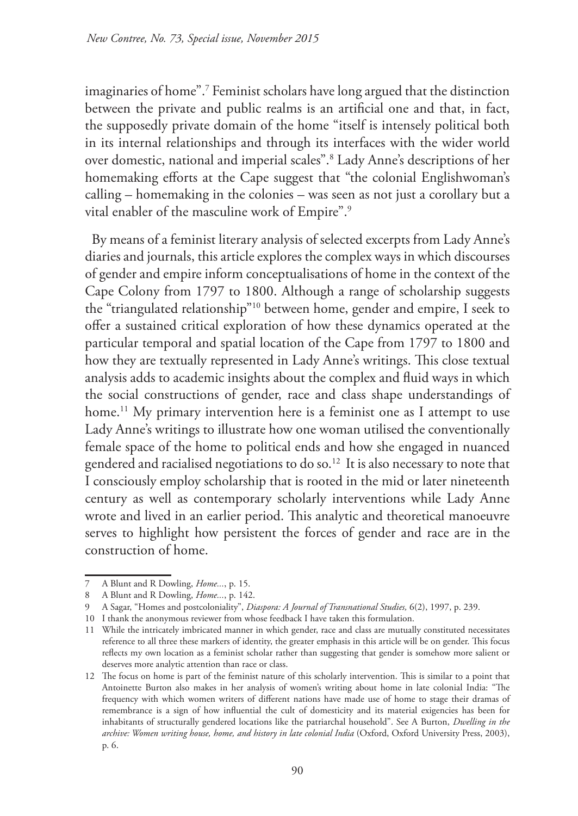imaginaries of home".7 Feminist scholars have long argued that the distinction between the private and public realms is an artificial one and that, in fact, the supposedly private domain of the home "itself is intensely political both in its internal relationships and through its interfaces with the wider world over domestic, national and imperial scales".8 Lady Anne's descriptions of her homemaking efforts at the Cape suggest that "the colonial Englishwoman's calling – homemaking in the colonies – was seen as not just a corollary but a vital enabler of the masculine work of Empire".9

By means of a feminist literary analysis of selected excerpts from Lady Anne's diaries and journals, this article explores the complex ways in which discourses of gender and empire inform conceptualisations of home in the context of the Cape Colony from 1797 to 1800. Although a range of scholarship suggests the "triangulated relationship"10 between home, gender and empire, I seek to offer a sustained critical exploration of how these dynamics operated at the particular temporal and spatial location of the Cape from 1797 to 1800 and how they are textually represented in Lady Anne's writings. This close textual analysis adds to academic insights about the complex and fluid ways in which the social constructions of gender, race and class shape understandings of home.<sup>11</sup> My primary intervention here is a feminist one as I attempt to use Lady Anne's writings to illustrate how one woman utilised the conventionally female space of the home to political ends and how she engaged in nuanced gendered and racialised negotiations to do so.<sup>12</sup> It is also necessary to note that I consciously employ scholarship that is rooted in the mid or later nineteenth century as well as contemporary scholarly interventions while Lady Anne wrote and lived in an earlier period. This analytic and theoretical manoeuvre serves to highlight how persistent the forces of gender and race are in the construction of home.

<sup>7</sup> A Blunt and R Dowling, *Home...*, p. 15.

<sup>8</sup> A Blunt and R Dowling, *Home...*, p. 142.

<sup>9</sup> A Sagar, "Homes and postcoloniality", *Diaspora: A Journal of Transnational Studies,* 6(2), 1997, p. 239.

<sup>10</sup> I thank the anonymous reviewer from whose feedback I have taken this formulation.

<sup>11</sup> While the intricately imbricated manner in which gender, race and class are mutually constituted necessitates reference to all three these markers of identity, the greater emphasis in this article will be on gender. This focus reflects my own location as a feminist scholar rather than suggesting that gender is somehow more salient or deserves more analytic attention than race or class.

<sup>12</sup> The focus on home is part of the feminist nature of this scholarly intervention. This is similar to a point that Antoinette Burton also makes in her analysis of women's writing about home in late colonial India: "The frequency with which women writers of different nations have made use of home to stage their dramas of remembrance is a sign of how influential the cult of domesticity and its material exigencies has been for inhabitants of structurally gendered locations like the patriarchal household". See A Burton, *Dwelling in the archive: Women writing house, home, and history in late colonial India* (Oxford, Oxford University Press, 2003), p. 6.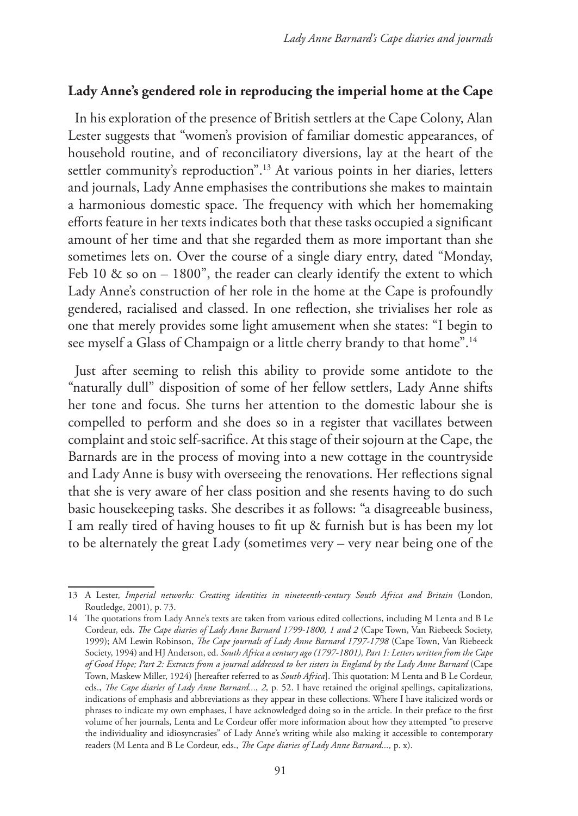## **Lady Anne's gendered role in reproducing the imperial home at the Cape**

In his exploration of the presence of British settlers at the Cape Colony, Alan Lester suggests that "women's provision of familiar domestic appearances, of household routine, and of reconciliatory diversions, lay at the heart of the settler community's reproduction".13 At various points in her diaries, letters and journals, Lady Anne emphasises the contributions she makes to maintain a harmonious domestic space. The frequency with which her homemaking efforts feature in her texts indicates both that these tasks occupied a significant amount of her time and that she regarded them as more important than she sometimes lets on. Over the course of a single diary entry, dated "Monday, Feb 10  $\&$  so on – 1800", the reader can clearly identify the extent to which Lady Anne's construction of her role in the home at the Cape is profoundly gendered, racialised and classed. In one reflection, she trivialises her role as one that merely provides some light amusement when she states: "I begin to see myself a Glass of Champaign or a little cherry brandy to that home".<sup>14</sup>

Just after seeming to relish this ability to provide some antidote to the "naturally dull" disposition of some of her fellow settlers, Lady Anne shifts her tone and focus. She turns her attention to the domestic labour she is compelled to perform and she does so in a register that vacillates between complaint and stoic self-sacrifice. At this stage of their sojourn at the Cape, the Barnards are in the process of moving into a new cottage in the countryside and Lady Anne is busy with overseeing the renovations. Her reflections signal that she is very aware of her class position and she resents having to do such basic housekeeping tasks. She describes it as follows: "a disagreeable business, I am really tired of having houses to fit up & furnish but is has been my lot to be alternately the great Lady (sometimes very – very near being one of the

<sup>13</sup> A Lester, *Imperial networks: Creating identities in nineteenth-century South Africa and Britain* (London, Routledge, 2001), p. 73.

<sup>14</sup> The quotations from Lady Anne's texts are taken from various edited collections, including M Lenta and B Le Cordeur, eds. *The Cape diaries of Lady Anne Barnard 1799-1800, 1 and 2* (Cape Town, Van Riebeeck Society, 1999); AM Lewin Robinson, *The Cape journals of Lady Anne Barnard 1797-1798* (Cape Town, Van Riebeeck Society, 1994) and HJ Anderson, ed. *South Africa a century ago (1797-1801), Part 1: Letters written from the Cape of Good Hope; Part 2: Extracts from a journal addressed to her sisters in England by the Lady Anne Barnard* (Cape Town, Maskew Miller, 1924) [hereafter referred to as *South Africa*]. This quotation: M Lenta and B Le Cordeur, eds., *The Cape diaries of Lady Anne Barnard..., 2, p.* 52. I have retained the original spellings, capitalizations, indications of emphasis and abbreviations as they appear in these collections. Where I have italicized words or phrases to indicate my own emphases, I have acknowledged doing so in the article. In their preface to the first volume of her journals, Lenta and Le Cordeur offer more information about how they attempted "to preserve the individuality and idiosyncrasies" of Lady Anne's writing while also making it accessible to contemporary readers (M Lenta and B Le Cordeur, eds., *The Cape diaries of Lady Anne Barnard...,* p. x).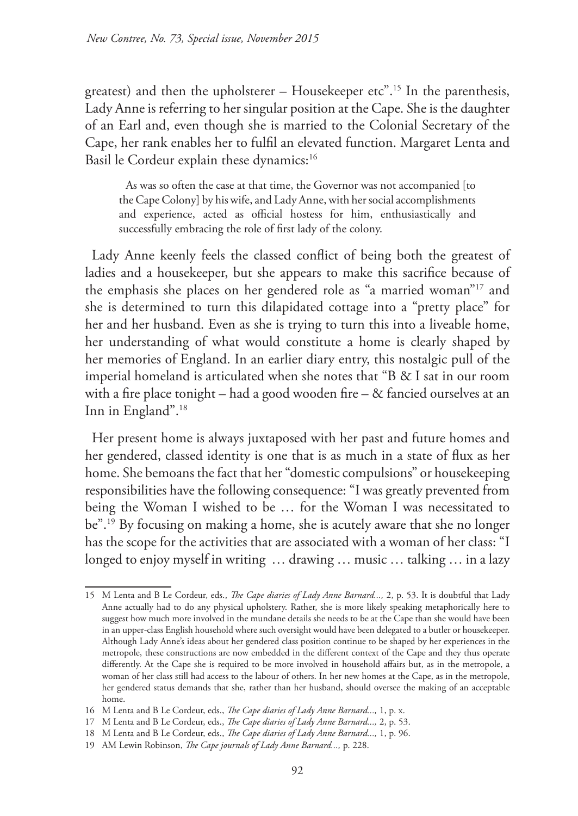greatest) and then the upholsterer – Housekeeper etc".15 In the parenthesis, Lady Anne is referring to her singular position at the Cape. She is the daughter of an Earl and, even though she is married to the Colonial Secretary of the Cape, her rank enables her to fulfil an elevated function. Margaret Lenta and Basil le Cordeur explain these dynamics:<sup>16</sup>

As was so often the case at that time, the Governor was not accompanied [to the Cape Colony] by his wife, and Lady Anne, with her social accomplishments and experience, acted as official hostess for him, enthusiastically and successfully embracing the role of first lady of the colony.

Lady Anne keenly feels the classed conflict of being both the greatest of ladies and a housekeeper, but she appears to make this sacrifice because of the emphasis she places on her gendered role as "a married woman"17 and she is determined to turn this dilapidated cottage into a "pretty place" for her and her husband. Even as she is trying to turn this into a liveable home, her understanding of what would constitute a home is clearly shaped by her memories of England. In an earlier diary entry, this nostalgic pull of the imperial homeland is articulated when she notes that "B & I sat in our room with a fire place tonight – had a good wooden fire – & fancied ourselves at an Inn in England".18

Her present home is always juxtaposed with her past and future homes and her gendered, classed identity is one that is as much in a state of flux as her home. She bemoans the fact that her "domestic compulsions" or housekeeping responsibilities have the following consequence: "I was greatly prevented from being the Woman I wished to be … for the Woman I was necessitated to be".19 By focusing on making a home, she is acutely aware that she no longer has the scope for the activities that are associated with a woman of her class: "I longed to enjoy myself in writing … drawing … music … talking … in a lazy

<sup>15</sup> M Lenta and B Le Cordeur, eds., *The Cape diaries of Lady Anne Barnard...,* 2, p. 53. It is doubtful that Lady Anne actually had to do any physical upholstery. Rather, she is more likely speaking metaphorically here to suggest how much more involved in the mundane details she needs to be at the Cape than she would have been in an upper-class English household where such oversight would have been delegated to a butler or housekeeper. Although Lady Anne's ideas about her gendered class position continue to be shaped by her experiences in the metropole, these constructions are now embedded in the different context of the Cape and they thus operate differently. At the Cape she is required to be more involved in household affairs but, as in the metropole, a woman of her class still had access to the labour of others. In her new homes at the Cape, as in the metropole, her gendered status demands that she, rather than her husband, should oversee the making of an acceptable home.

<sup>16</sup> M Lenta and B Le Cordeur, eds., *The Cape diaries of Lady Anne Barnard...,* 1, p. x.

<sup>17</sup> M Lenta and B Le Cordeur, eds., *The Cape diaries of Lady Anne Barnard...,* 2, p. 53.

<sup>18</sup> M Lenta and B Le Cordeur, eds., *The Cape diaries of Lady Anne Barnard...,* 1, p. 96.

<sup>19</sup> AM Lewin Robinson, *The Cape journals of Lady Anne Barnard...,* p. 228.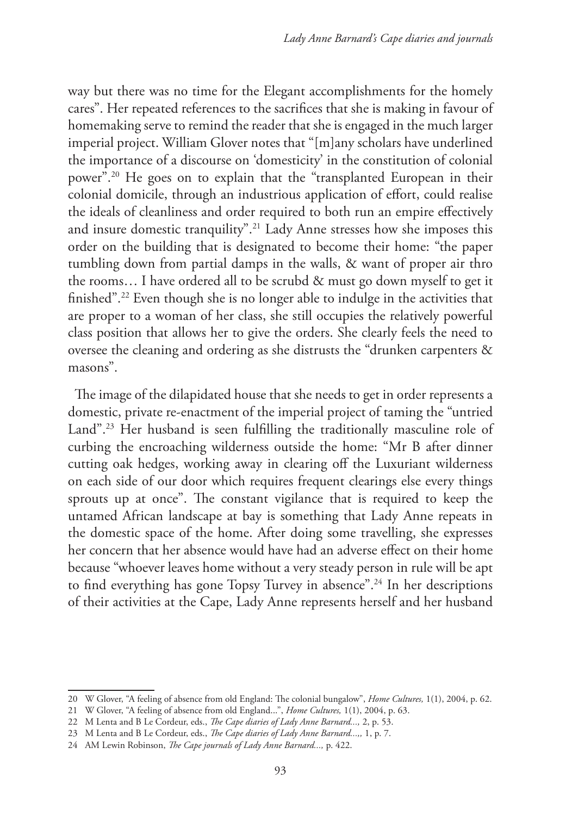way but there was no time for the Elegant accomplishments for the homely cares". Her repeated references to the sacrifices that she is making in favour of homemaking serve to remind the reader that she is engaged in the much larger imperial project. William Glover notes that "[m]any scholars have underlined the importance of a discourse on 'domesticity' in the constitution of colonial power".20 He goes on to explain that the "transplanted European in their colonial domicile, through an industrious application of effort, could realise the ideals of cleanliness and order required to both run an empire effectively and insure domestic tranquility".21 Lady Anne stresses how she imposes this order on the building that is designated to become their home: "the paper tumbling down from partial damps in the walls, & want of proper air thro the rooms… I have ordered all to be scrubd & must go down myself to get it finished".22 Even though she is no longer able to indulge in the activities that are proper to a woman of her class, she still occupies the relatively powerful class position that allows her to give the orders. She clearly feels the need to oversee the cleaning and ordering as she distrusts the "drunken carpenters & masons".

The image of the dilapidated house that she needs to get in order represents a domestic, private re-enactment of the imperial project of taming the "untried Land".<sup>23</sup> Her husband is seen fulfilling the traditionally masculine role of curbing the encroaching wilderness outside the home: "Mr B after dinner cutting oak hedges, working away in clearing off the Luxuriant wilderness on each side of our door which requires frequent clearings else every things sprouts up at once". The constant vigilance that is required to keep the untamed African landscape at bay is something that Lady Anne repeats in the domestic space of the home. After doing some travelling, she expresses her concern that her absence would have had an adverse effect on their home because "whoever leaves home without a very steady person in rule will be apt to find everything has gone Topsy Turvey in absence".<sup>24</sup> In her descriptions of their activities at the Cape, Lady Anne represents herself and her husband

<sup>20</sup> W Glover, "A feeling of absence from old England: The colonial bungalow", *Home Cultures,* 1(1), 2004, p. 62.

<sup>21</sup> W Glover, "A feeling of absence from old England...", *Home Cultures,* 1(1), 2004, p. 63.

<sup>22</sup> M Lenta and B Le Cordeur, eds., *The Cape diaries of Lady Anne Barnard...,* 2, p. 53.

<sup>23</sup> M Lenta and B Le Cordeur, eds., *The Cape diaries of Lady Anne Barnard...,,* 1, p. 7.

<sup>24</sup> AM Lewin Robinson, *The Cape journals of Lady Anne Barnard...,* p. 422.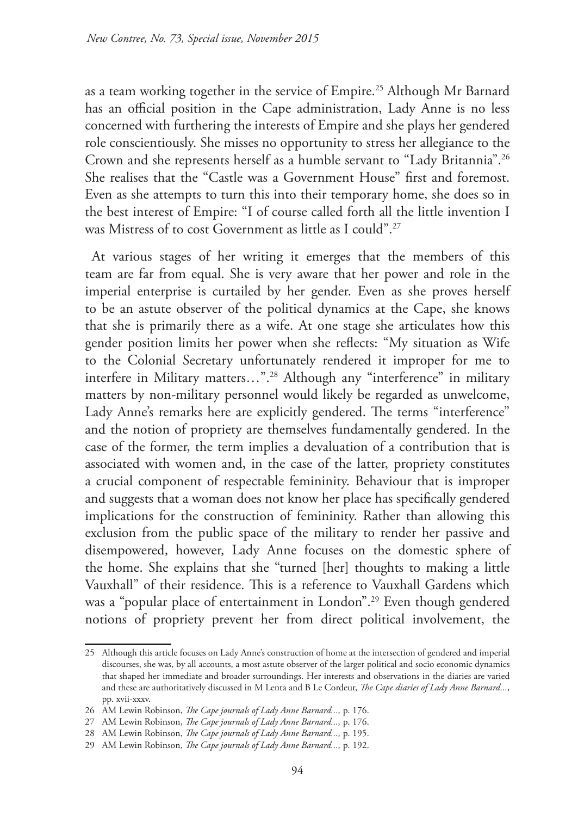as a team working together in the service of Empire.25 Although Mr Barnard has an official position in the Cape administration, Lady Anne is no less concerned with furthering the interests of Empire and she plays her gendered role conscientiously. She misses no opportunity to stress her allegiance to the Crown and she represents herself as a humble servant to "Lady Britannia".26 She realises that the "Castle was a Government House" first and foremost. Even as she attempts to turn this into their temporary home, she does so in the best interest of Empire: "I of course called forth all the little invention I was Mistress of to cost Government as little as I could".27

At various stages of her writing it emerges that the members of this team are far from equal. She is very aware that her power and role in the imperial enterprise is curtailed by her gender. Even as she proves herself to be an astute observer of the political dynamics at the Cape, she knows that she is primarily there as a wife. At one stage she articulates how this gender position limits her power when she reflects: "My situation as Wife to the Colonial Secretary unfortunately rendered it improper for me to interfere in Military matters…".28 Although any "interference" in military matters by non-military personnel would likely be regarded as unwelcome, Lady Anne's remarks here are explicitly gendered. The terms "interference" and the notion of propriety are themselves fundamentally gendered. In the case of the former, the term implies a devaluation of a contribution that is associated with women and, in the case of the latter, propriety constitutes a crucial component of respectable femininity. Behaviour that is improper and suggests that a woman does not know her place has specifically gendered implications for the construction of femininity. Rather than allowing this exclusion from the public space of the military to render her passive and disempowered, however, Lady Anne focuses on the domestic sphere of the home. She explains that she "turned [her] thoughts to making a little Vauxhall" of their residence. This is a reference to Vauxhall Gardens which was a "popular place of entertainment in London".<sup>29</sup> Even though gendered notions of propriety prevent her from direct political involvement, the

<sup>25</sup> Although this article focuses on Lady Anne's construction of home at the intersection of gendered and imperial discourses, she was, by all accounts, a most astute observer of the larger political and socio economic dynamics that shaped her immediate and broader surroundings. Her interests and observations in the diaries are varied and these are authoritatively discussed in M Lenta and B Le Cordeur, *The Cape diaries of Lady Anne Barnard...*, pp. xvii-xxxv.

<sup>26</sup> AM Lewin Robinson, *The Cape journals of Lady Anne Barnard...,* p. 176.

<sup>27</sup> AM Lewin Robinson, *The Cape journals of Lady Anne Barnard...,* p. 176.

<sup>28</sup> AM Lewin Robinson, *The Cape journals of Lady Anne Barnard...,* p. 195.

<sup>29</sup> AM Lewin Robinson, *The Cape journals of Lady Anne Barnard...,* p. 192.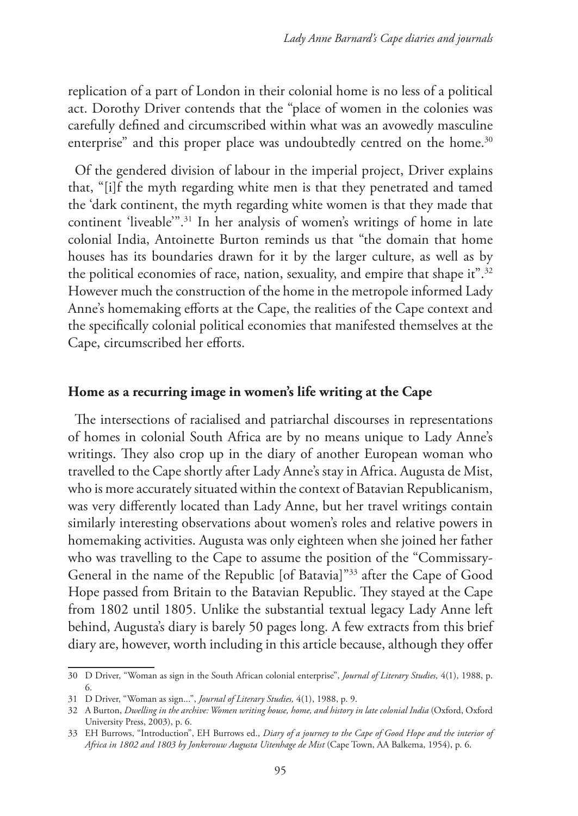replication of a part of London in their colonial home is no less of a political act. Dorothy Driver contends that the "place of women in the colonies was carefully defined and circumscribed within what was an avowedly masculine enterprise" and this proper place was undoubtedly centred on the home.<sup>30</sup>

Of the gendered division of labour in the imperial project, Driver explains that, "[i]f the myth regarding white men is that they penetrated and tamed the 'dark continent, the myth regarding white women is that they made that continent 'liveable'".31 In her analysis of women's writings of home in late colonial India, Antoinette Burton reminds us that "the domain that home houses has its boundaries drawn for it by the larger culture, as well as by the political economies of race, nation, sexuality, and empire that shape it".<sup>32</sup> However much the construction of the home in the metropole informed Lady Anne's homemaking efforts at the Cape, the realities of the Cape context and the specifically colonial political economies that manifested themselves at the Cape, circumscribed her efforts.

#### **Home as a recurring image in women's life writing at the Cape**

The intersections of racialised and patriarchal discourses in representations of homes in colonial South Africa are by no means unique to Lady Anne's writings. They also crop up in the diary of another European woman who travelled to the Cape shortly after Lady Anne's stay in Africa. Augusta de Mist, who is more accurately situated within the context of Batavian Republicanism, was very differently located than Lady Anne, but her travel writings contain similarly interesting observations about women's roles and relative powers in homemaking activities. Augusta was only eighteen when she joined her father who was travelling to the Cape to assume the position of the "Commissary-General in the name of the Republic [of Batavia]"33 after the Cape of Good Hope passed from Britain to the Batavian Republic. They stayed at the Cape from 1802 until 1805. Unlike the substantial textual legacy Lady Anne left behind, Augusta's diary is barely 50 pages long. A few extracts from this brief diary are, however, worth including in this article because, although they offer

<sup>30</sup> D Driver, "Woman as sign in the South African colonial enterprise", *Journal of Literary Studies,* 4(1), 1988, p. 6.

<sup>31</sup> D Driver, "Woman as sign...", *Journal of Literary Studies,* 4(1), 1988, p. 9.

<sup>32</sup> A Burton, *Dwelling in the archive: Women writing house, home, and history in late colonial India* (Oxford, Oxford University Press, 2003), p. 6.

<sup>33</sup> EH Burrows, "Introduction", EH Burrows ed., *Diary of a journey to the Cape of Good Hope and the interior of Africa in 1802 and 1803 by Jonkvrouw Augusta Uitenhage de Mist* (Cape Town, AA Balkema, 1954), p. 6.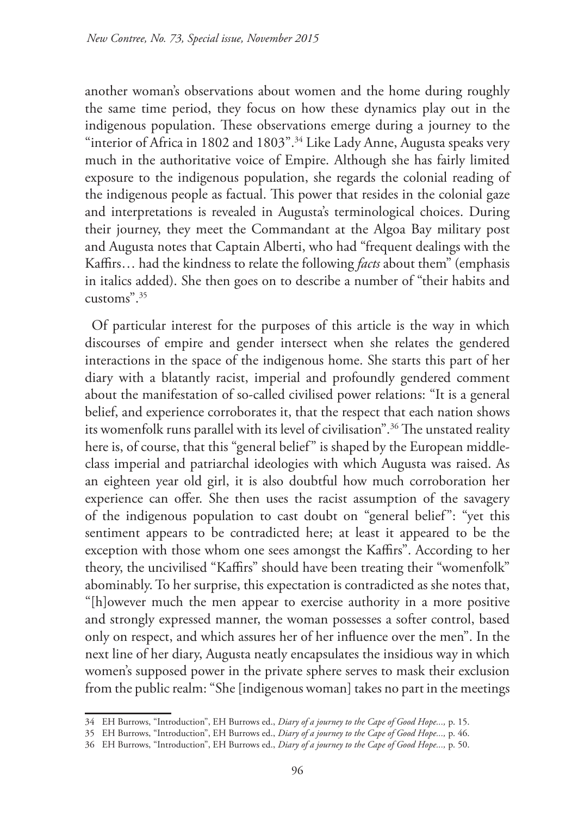another woman's observations about women and the home during roughly the same time period, they focus on how these dynamics play out in the indigenous population. These observations emerge during a journey to the "interior of Africa in 1802 and 1803".<sup>34</sup> Like Lady Anne, Augusta speaks very much in the authoritative voice of Empire. Although she has fairly limited exposure to the indigenous population, she regards the colonial reading of the indigenous people as factual. This power that resides in the colonial gaze and interpretations is revealed in Augusta's terminological choices. During their journey, they meet the Commandant at the Algoa Bay military post and Augusta notes that Captain Alberti, who had "frequent dealings with the Kaffirs… had the kindness to relate the following *facts* about them" (emphasis in italics added). She then goes on to describe a number of "their habits and customs".35

Of particular interest for the purposes of this article is the way in which discourses of empire and gender intersect when she relates the gendered interactions in the space of the indigenous home. She starts this part of her diary with a blatantly racist, imperial and profoundly gendered comment about the manifestation of so-called civilised power relations: "It is a general belief, and experience corroborates it, that the respect that each nation shows its womenfolk runs parallel with its level of civilisation".36 The unstated reality here is, of course, that this "general belief" is shaped by the European middleclass imperial and patriarchal ideologies with which Augusta was raised. As an eighteen year old girl, it is also doubtful how much corroboration her experience can offer. She then uses the racist assumption of the savagery of the indigenous population to cast doubt on "general belief": "yet this sentiment appears to be contradicted here; at least it appeared to be the exception with those whom one sees amongst the Kaffirs". According to her theory, the uncivilised "Kaffirs" should have been treating their "womenfolk" abominably. To her surprise, this expectation is contradicted as she notes that, "[h]owever much the men appear to exercise authority in a more positive and strongly expressed manner, the woman possesses a softer control, based only on respect, and which assures her of her influence over the men". In the next line of her diary, Augusta neatly encapsulates the insidious way in which women's supposed power in the private sphere serves to mask their exclusion from the public realm: "She [indigenous woman] takes no part in the meetings

<sup>34</sup> EH Burrows, "Introduction", EH Burrows ed., *Diary of a journey to the Cape of Good Hope...,* p. 15.

<sup>35</sup> EH Burrows, "Introduction", EH Burrows ed., *Diary of a journey to the Cape of Good Hope...,* p. 46.

<sup>36</sup> EH Burrows, "Introduction", EH Burrows ed., *Diary of a journey to the Cape of Good Hope...,* p. 50.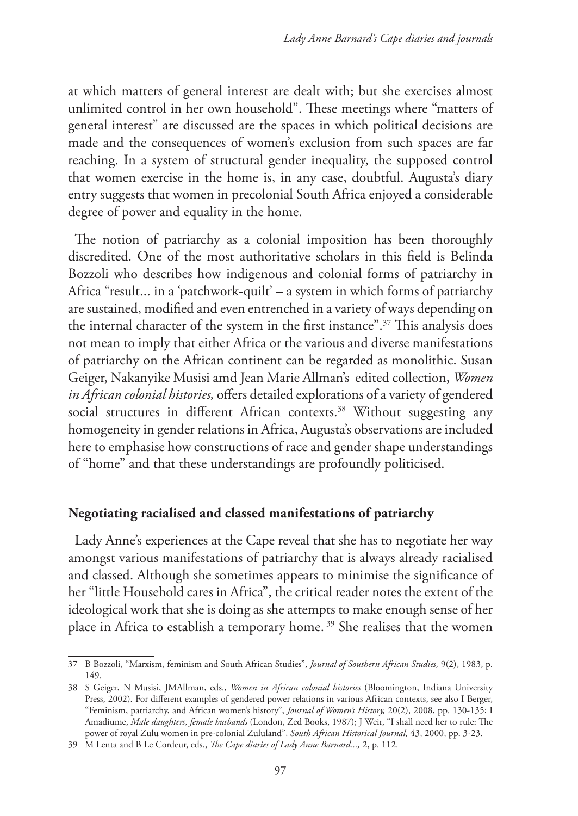at which matters of general interest are dealt with; but she exercises almost unlimited control in her own household". These meetings where "matters of general interest" are discussed are the spaces in which political decisions are made and the consequences of women's exclusion from such spaces are far reaching. In a system of structural gender inequality, the supposed control that women exercise in the home is, in any case, doubtful. Augusta's diary entry suggests that women in precolonial South Africa enjoyed a considerable degree of power and equality in the home.

The notion of patriarchy as a colonial imposition has been thoroughly discredited. One of the most authoritative scholars in this field is Belinda Bozzoli who describes how indigenous and colonial forms of patriarchy in Africa "result... in a 'patchwork-quilt' – a system in which forms of patriarchy are sustained, modified and even entrenched in a variety of ways depending on the internal character of the system in the first instance".37 This analysis does not mean to imply that either Africa or the various and diverse manifestations of patriarchy on the African continent can be regarded as monolithic. Susan Geiger, Nakanyike Musisi amd Jean Marie Allman's edited collection, *Women in African colonial histories,* offers detailed explorations of a variety of gendered social structures in different African contexts.<sup>38</sup> Without suggesting any homogeneity in gender relations in Africa, Augusta's observations are included here to emphasise how constructions of race and gender shape understandings of "home" and that these understandings are profoundly politicised.

#### **Negotiating racialised and classed manifestations of patriarchy**

Lady Anne's experiences at the Cape reveal that she has to negotiate her way amongst various manifestations of patriarchy that is always already racialised and classed. Although she sometimes appears to minimise the significance of her "little Household cares in Africa", the critical reader notes the extent of the ideological work that she is doing as she attempts to make enough sense of her place in Africa to establish a temporary home. 39 She realises that the women

<sup>37</sup> B Bozzoli, "Marxism, feminism and South African Studies", *Journal of Southern African Studies,* 9(2), 1983, p. 149.

<sup>38</sup> S Geiger, N Musisi, JMAllman, eds., *Women in African colonial histories* (Bloomington, Indiana University Press, 2002). For different examples of gendered power relations in various African contexts, see also I Berger, "Feminism, patriarchy, and African women's history", *Journal of Women's History,* 20(2), 2008, pp. 130-135; I Amadiume, *Male daughters, female husbands* (London, Zed Books, 1987); J Weir, "I shall need her to rule: The power of royal Zulu women in pre-colonial Zululand", *South African Historical Journal,* 43, 2000, pp. 3-23.

<sup>39</sup> M Lenta and B Le Cordeur, eds., *The Cape diaries of Lady Anne Barnard...,* 2, p. 112.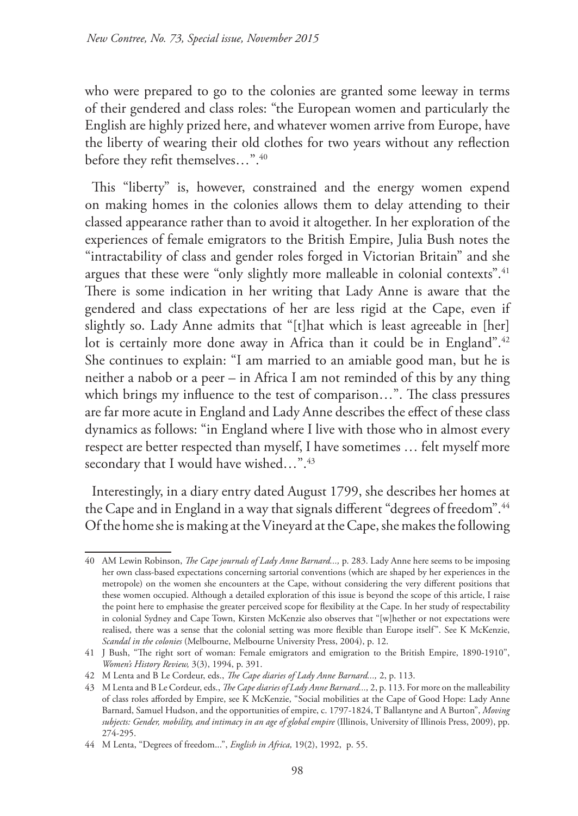who were prepared to go to the colonies are granted some leeway in terms of their gendered and class roles: "the European women and particularly the English are highly prized here, and whatever women arrive from Europe, have the liberty of wearing their old clothes for two years without any reflection before they refit themselves...".<sup>40</sup>

This "liberty" is, however, constrained and the energy women expend on making homes in the colonies allows them to delay attending to their classed appearance rather than to avoid it altogether. In her exploration of the experiences of female emigrators to the British Empire, Julia Bush notes the "intractability of class and gender roles forged in Victorian Britain" and she argues that these were "only slightly more malleable in colonial contexts".<sup>41</sup> There is some indication in her writing that Lady Anne is aware that the gendered and class expectations of her are less rigid at the Cape, even if slightly so. Lady Anne admits that "[t]hat which is least agreeable in [her] lot is certainly more done away in Africa than it could be in England".<sup>42</sup> She continues to explain: "I am married to an amiable good man, but he is neither a nabob or a peer – in Africa I am not reminded of this by any thing which brings my influence to the test of comparison…". The class pressures are far more acute in England and Lady Anne describes the effect of these class dynamics as follows: "in England where I live with those who in almost every respect are better respected than myself, I have sometimes … felt myself more secondary that I would have wished...".<sup>43</sup>

Interestingly, in a diary entry dated August 1799, she describes her homes at the Cape and in England in a way that signals different "degrees of freedom".<sup>44</sup> Of the home she is making at the Vineyard at the Cape, she makes the following

<sup>40</sup> AM Lewin Robinson, *The Cape journals of Lady Anne Barnard...,* p. 283. Lady Anne here seems to be imposing her own class-based expectations concerning sartorial conventions (which are shaped by her experiences in the metropole) on the women she encounters at the Cape, without considering the very different positions that these women occupied. Although a detailed exploration of this issue is beyond the scope of this article, I raise the point here to emphasise the greater perceived scope for flexibility at the Cape. In her study of respectability in colonial Sydney and Cape Town, Kirsten McKenzie also observes that "[w]hether or not expectations were realised, there was a sense that the colonial setting was more flexible than Europe itself". See K McKenzie, *Scandal in the colonies* (Melbourne, Melbourne University Press, 2004), p. 12.

<sup>41</sup> J Bush, "The right sort of woman: Female emigrators and emigration to the British Empire, 1890-1910", *Women's History Review,* 3(3), 1994, p. 391.

<sup>42</sup> M Lenta and B Le Cordeur, eds., *The Cape diaries of Lady Anne Barnard...,* 2, p. 113.

<sup>43</sup> M Lenta and B Le Cordeur, eds., *The Cape diaries of Lady Anne Barnard...,* 2, p. 113. For more on the malleability of class roles afforded by Empire, see K McKenzie, "Social mobilities at the Cape of Good Hope: Lady Anne Barnard, Samuel Hudson, and the opportunities of empire, c. 1797-1824, T Ballantyne and A Burton", *Moving*  subjects: Gender, mobility, and intimacy in an age of global empire (Illinois, University of Illinois Press, 2009), pp. 274-295.

<sup>44</sup> M Lenta, "Degrees of freedom...", *English in Africa,* 19(2), 1992, p. 55.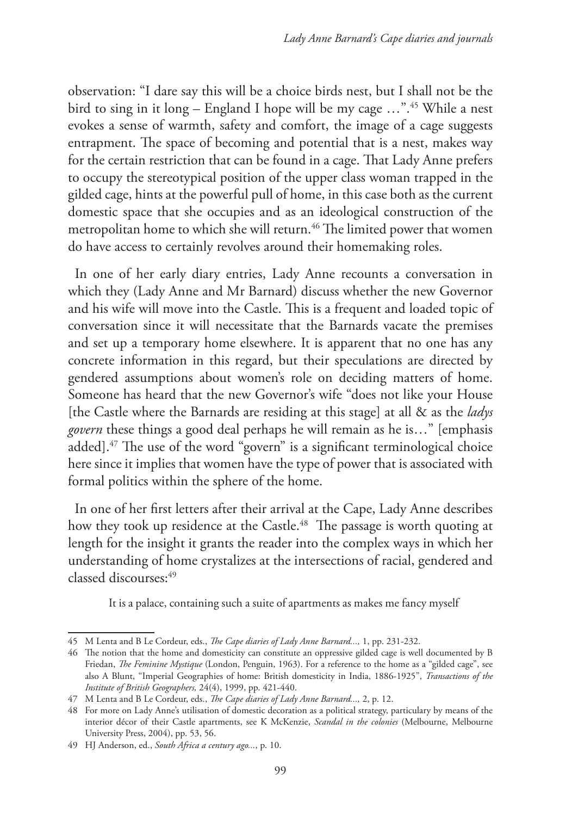observation: "I dare say this will be a choice birds nest, but I shall not be the bird to sing in it long – England I hope will be my cage …".45 While a nest evokes a sense of warmth, safety and comfort, the image of a cage suggests entrapment. The space of becoming and potential that is a nest, makes way for the certain restriction that can be found in a cage. That Lady Anne prefers to occupy the stereotypical position of the upper class woman trapped in the gilded cage, hints at the powerful pull of home, in this case both as the current domestic space that she occupies and as an ideological construction of the metropolitan home to which she will return.<sup>46</sup> The limited power that women do have access to certainly revolves around their homemaking roles.

In one of her early diary entries, Lady Anne recounts a conversation in which they (Lady Anne and Mr Barnard) discuss whether the new Governor and his wife will move into the Castle. This is a frequent and loaded topic of conversation since it will necessitate that the Barnards vacate the premises and set up a temporary home elsewhere. It is apparent that no one has any concrete information in this regard, but their speculations are directed by gendered assumptions about women's role on deciding matters of home. Someone has heard that the new Governor's wife "does not like your House [the Castle where the Barnards are residing at this stage] at all & as the *ladys govern* these things a good deal perhaps he will remain as he is…" [emphasis added].47 The use of the word "govern" is a significant terminological choice here since it implies that women have the type of power that is associated with formal politics within the sphere of the home.

In one of her first letters after their arrival at the Cape, Lady Anne describes how they took up residence at the Castle.<sup>48</sup> The passage is worth quoting at length for the insight it grants the reader into the complex ways in which her understanding of home crystalizes at the intersections of racial, gendered and classed discourses:<sup>49</sup>

It is a palace, containing such a suite of apartments as makes me fancy myself

<sup>45</sup> M Lenta and B Le Cordeur, eds., *The Cape diaries of Lady Anne Barnard...,* 1, pp. 231-232.

<sup>46</sup> The notion that the home and domesticity can constitute an oppressive gilded cage is well documented by B Friedan, *The Feminine Mystique* (London, Penguin, 1963). For a reference to the home as a "gilded cage", see also A Blunt, "Imperial Geographies of home: British domesticity in India, 1886-1925", *Transactions of the Institute of British Geographers,* 24(4), 1999, pp. 421-440.

<sup>47</sup> M Lenta and B Le Cordeur, eds., *The Cape diaries of Lady Anne Barnard...,* 2, p. 12.

<sup>48</sup> For more on Lady Anne's utilisation of domestic decoration as a political strategy, particulary by means of the interior décor of their Castle apartments, see K McKenzie, *Scandal in the colonies* (Melbourne, Melbourne University Press, 2004), pp. 53, 56.

<sup>49</sup> HJ Anderson, ed., *South Africa a century ago...*, p. 10.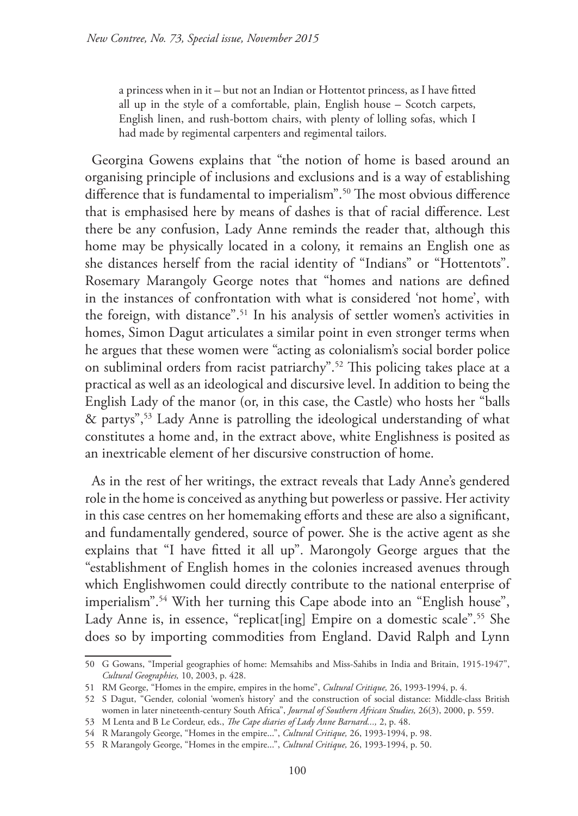a princess when in it – but not an Indian or Hottentot princess, as I have fitted all up in the style of a comfortable, plain, English house – Scotch carpets, English linen, and rush-bottom chairs, with plenty of lolling sofas, which I had made by regimental carpenters and regimental tailors.

Georgina Gowens explains that "the notion of home is based around an organising principle of inclusions and exclusions and is a way of establishing difference that is fundamental to imperialism".<sup>50</sup> The most obvious difference that is emphasised here by means of dashes is that of racial difference. Lest there be any confusion, Lady Anne reminds the reader that, although this home may be physically located in a colony, it remains an English one as she distances herself from the racial identity of "Indians" or "Hottentots". Rosemary Marangoly George notes that "homes and nations are defined in the instances of confrontation with what is considered 'not home', with the foreign, with distance".51 In his analysis of settler women's activities in homes, Simon Dagut articulates a similar point in even stronger terms when he argues that these women were "acting as colonialism's social border police on subliminal orders from racist patriarchy".52 This policing takes place at a practical as well as an ideological and discursive level. In addition to being the English Lady of the manor (or, in this case, the Castle) who hosts her "balls & partys",53 Lady Anne is patrolling the ideological understanding of what constitutes a home and, in the extract above, white Englishness is posited as an inextricable element of her discursive construction of home.

As in the rest of her writings, the extract reveals that Lady Anne's gendered role in the home is conceived as anything but powerless or passive. Her activity in this case centres on her homemaking efforts and these are also a significant, and fundamentally gendered, source of power. She is the active agent as she explains that "I have fitted it all up". Marongoly George argues that the "establishment of English homes in the colonies increased avenues through which Englishwomen could directly contribute to the national enterprise of imperialism".54 With her turning this Cape abode into an "English house", Lady Anne is, in essence, "replicat[ing] Empire on a domestic scale".<sup>55</sup> She does so by importing commodities from England. David Ralph and Lynn

<sup>50</sup> G Gowans, "Imperial geographies of home: Memsahibs and Miss-Sahibs in India and Britain, 1915-1947", *Cultural Geographies,* 10, 2003, p. 428.

<sup>51</sup> RM George, "Homes in the empire, empires in the home", *Cultural Critique,* 26, 1993-1994, p. 4.

<sup>52</sup> S Dagut, "Gender, colonial 'women's history' and the construction of social distance: Middle-class British women in later nineteenth-century South Africa", *Journal of Southern African Studies,* 26(3), 2000, p. 559.

<sup>53</sup> M Lenta and B Le Cordeur, eds., *The Cape diaries of Lady Anne Barnard...,* 2, p. 48.

<sup>54</sup> R Marangoly George, "Homes in the empire...", *Cultural Critique,* 26, 1993-1994, p. 98.

<sup>55</sup> R Marangoly George, "Homes in the empire...", *Cultural Critique,* 26, 1993-1994, p. 50.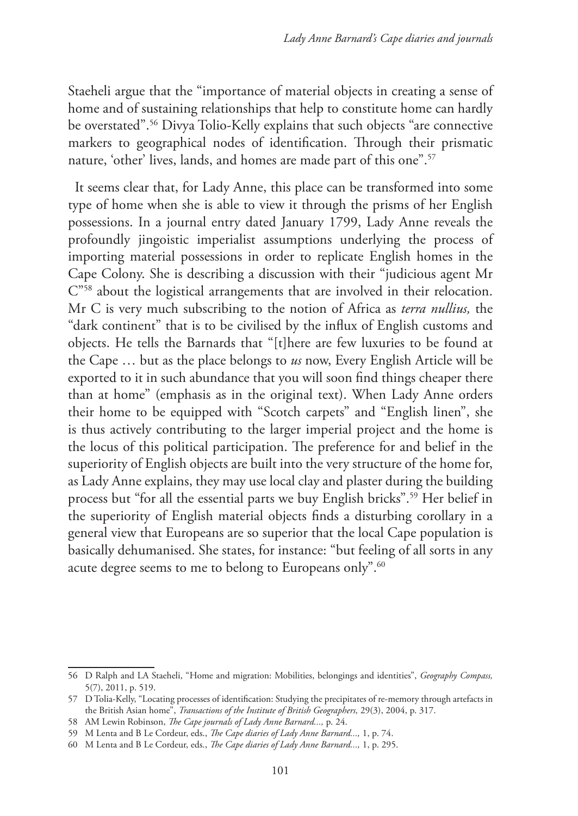Staeheli argue that the "importance of material objects in creating a sense of home and of sustaining relationships that help to constitute home can hardly be overstated".56 Divya Tolio-Kelly explains that such objects "are connective markers to geographical nodes of identification. Through their prismatic nature, 'other' lives, lands, and homes are made part of this one".<sup>57</sup>

It seems clear that, for Lady Anne, this place can be transformed into some type of home when she is able to view it through the prisms of her English possessions. In a journal entry dated January 1799, Lady Anne reveals the profoundly jingoistic imperialist assumptions underlying the process of importing material possessions in order to replicate English homes in the Cape Colony. She is describing a discussion with their "judicious agent Mr C"58 about the logistical arrangements that are involved in their relocation. Mr C is very much subscribing to the notion of Africa as *terra nullius,* the "dark continent" that is to be civilised by the influx of English customs and objects. He tells the Barnards that "[t]here are few luxuries to be found at the Cape … but as the place belongs to *us* now, Every English Article will be exported to it in such abundance that you will soon find things cheaper there than at home" (emphasis as in the original text). When Lady Anne orders their home to be equipped with "Scotch carpets" and "English linen", she is thus actively contributing to the larger imperial project and the home is the locus of this political participation. The preference for and belief in the superiority of English objects are built into the very structure of the home for, as Lady Anne explains, they may use local clay and plaster during the building process but "for all the essential parts we buy English bricks".59 Her belief in the superiority of English material objects finds a disturbing corollary in a general view that Europeans are so superior that the local Cape population is basically dehumanised. She states, for instance: "but feeling of all sorts in any acute degree seems to me to belong to Europeans only".<sup>60</sup>

<sup>56</sup> D Ralph and LA Staeheli, "Home and migration: Mobilities, belongings and identities", *Geography Compass,*  5(7), 2011, p. 519.

<sup>57</sup> D Tolia-Kelly, "Locating processes of identification: Studying the precipitates of re-memory through artefacts in the British Asian home", *Transactions of the Institute of British Geographers,* 29(3), 2004, p. 317.

<sup>58</sup> AM Lewin Robinson, *The Cape journals of Lady Anne Barnard...,* p. 24.

<sup>59</sup> M Lenta and B Le Cordeur, eds., *The Cape diaries of Lady Anne Barnard...,* 1, p. 74.

<sup>60</sup> M Lenta and B Le Cordeur, eds., *The Cape diaries of Lady Anne Barnard...,* 1, p. 295.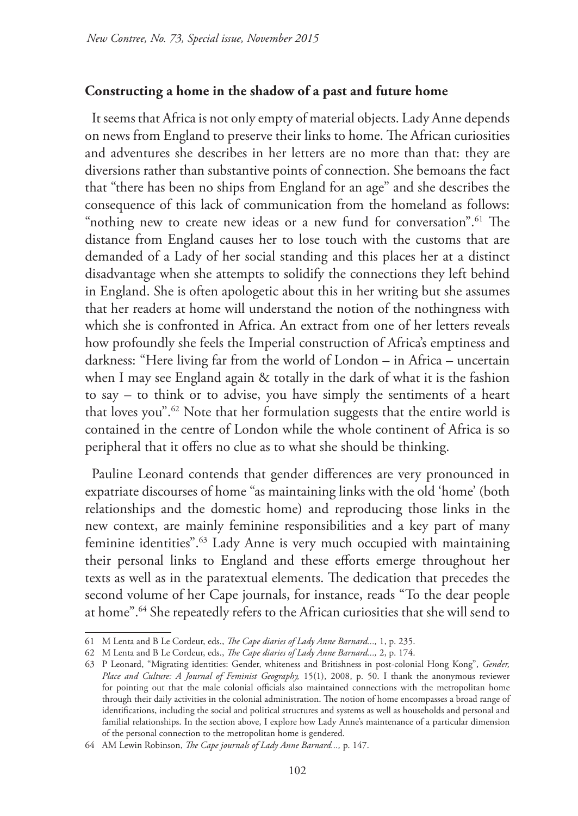## **Constructing a home in the shadow of a past and future home**

It seems that Africa is not only empty of material objects. Lady Anne depends on news from England to preserve their links to home. The African curiosities and adventures she describes in her letters are no more than that: they are diversions rather than substantive points of connection. She bemoans the fact that "there has been no ships from England for an age" and she describes the consequence of this lack of communication from the homeland as follows: "nothing new to create new ideas or a new fund for conversation".<sup>61</sup> The distance from England causes her to lose touch with the customs that are demanded of a Lady of her social standing and this places her at a distinct disadvantage when she attempts to solidify the connections they left behind in England. She is often apologetic about this in her writing but she assumes that her readers at home will understand the notion of the nothingness with which she is confronted in Africa. An extract from one of her letters reveals how profoundly she feels the Imperial construction of Africa's emptiness and darkness: "Here living far from the world of London – in Africa – uncertain when I may see England again & totally in the dark of what it is the fashion to say – to think or to advise, you have simply the sentiments of a heart that loves you".<sup>62</sup> Note that her formulation suggests that the entire world is contained in the centre of London while the whole continent of Africa is so peripheral that it offers no clue as to what she should be thinking.

Pauline Leonard contends that gender differences are very pronounced in expatriate discourses of home "as maintaining links with the old 'home' (both relationships and the domestic home) and reproducing those links in the new context, are mainly feminine responsibilities and a key part of many feminine identities".63 Lady Anne is very much occupied with maintaining their personal links to England and these efforts emerge throughout her texts as well as in the paratextual elements. The dedication that precedes the second volume of her Cape journals, for instance, reads "To the dear people at home".64 She repeatedly refers to the African curiosities that she will send to

<sup>61</sup> M Lenta and B Le Cordeur, eds., *The Cape diaries of Lady Anne Barnard...,* 1, p. 235.

<sup>62</sup> M Lenta and B Le Cordeur, eds., *The Cape diaries of Lady Anne Barnard...,* 2, p. 174.

<sup>63</sup> P Leonard, "Migrating identities: Gender, whiteness and Britishness in post-colonial Hong Kong", *Gender,*  Place and Culture: A Journal of Feminist Geography, 15(1), 2008, p. 50. I thank the anonymous reviewer for pointing out that the male colonial officials also maintained connections with the metropolitan home through their daily activities in the colonial administration. The notion of home encompasses a broad range of identifications, including the social and political structures and systems as well as households and personal and familial relationships. In the section above, I explore how Lady Anne's maintenance of a particular dimension of the personal connection to the metropolitan home is gendered.

<sup>64</sup> AM Lewin Robinson, *The Cape journals of Lady Anne Barnard...,* p. 147.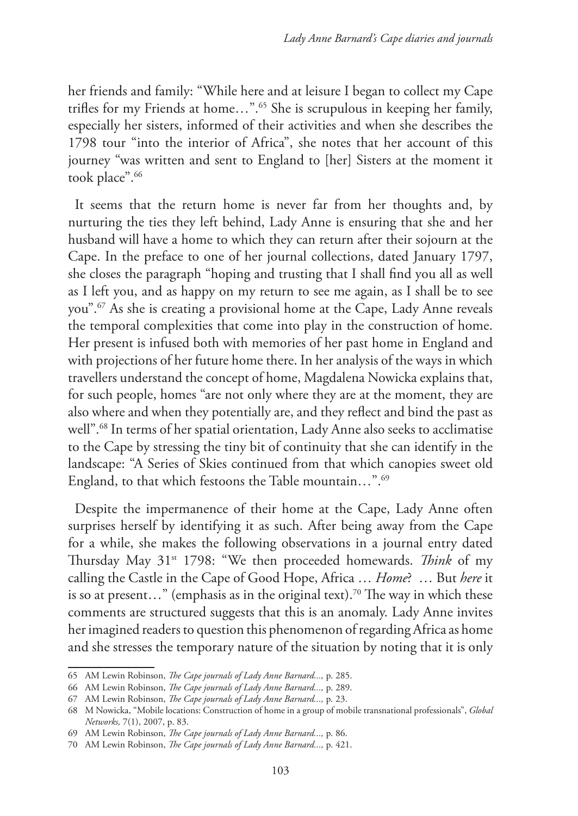her friends and family: "While here and at leisure I began to collect my Cape trifles for my Friends at home…".65 She is scrupulous in keeping her family, especially her sisters, informed of their activities and when she describes the 1798 tour "into the interior of Africa", she notes that her account of this journey "was written and sent to England to [her] Sisters at the moment it took place".<sup>66</sup>

It seems that the return home is never far from her thoughts and, by nurturing the ties they left behind, Lady Anne is ensuring that she and her husband will have a home to which they can return after their sojourn at the Cape. In the preface to one of her journal collections, dated January 1797, she closes the paragraph "hoping and trusting that I shall find you all as well as I left you, and as happy on my return to see me again, as I shall be to see you".67 As she is creating a provisional home at the Cape, Lady Anne reveals the temporal complexities that come into play in the construction of home. Her present is infused both with memories of her past home in England and with projections of her future home there. In her analysis of the ways in which travellers understand the concept of home, Magdalena Nowicka explains that, for such people, homes "are not only where they are at the moment, they are also where and when they potentially are, and they reflect and bind the past as well".68 In terms of her spatial orientation, Lady Anne also seeks to acclimatise to the Cape by stressing the tiny bit of continuity that she can identify in the landscape: "A Series of Skies continued from that which canopies sweet old England, to that which festoons the Table mountain...".<sup>69</sup>

Despite the impermanence of their home at the Cape, Lady Anne often surprises herself by identifying it as such. After being away from the Cape for a while, she makes the following observations in a journal entry dated Thursday May 31st 1798: "We then proceeded homewards. *Think* of my calling the Castle in the Cape of Good Hope, Africa … *Home*? … But *here* it is so at present…" (emphasis as in the original text).70 The way in which these comments are structured suggests that this is an anomaly. Lady Anne invites her imagined readers to question this phenomenon of regarding Africa as home and she stresses the temporary nature of the situation by noting that it is only

<sup>65</sup> AM Lewin Robinson, *The Cape journals of Lady Anne Barnard...,* p. 285.

<sup>66</sup> AM Lewin Robinson, *The Cape journals of Lady Anne Barnard...,* p. 289.

<sup>67</sup> AM Lewin Robinson, *The Cape journals of Lady Anne Barnard...,* p. 23.

<sup>68</sup> M Nowicka, "Mobile locations: Construction of home in a group of mobile transnational professionals", *Global Networks,* 7(1), 2007, p. 83.

<sup>69</sup> AM Lewin Robinson, *The Cape journals of Lady Anne Barnard...,* p. 86.

<sup>70</sup> AM Lewin Robinson, *The Cape journals of Lady Anne Barnard...,* p. 421.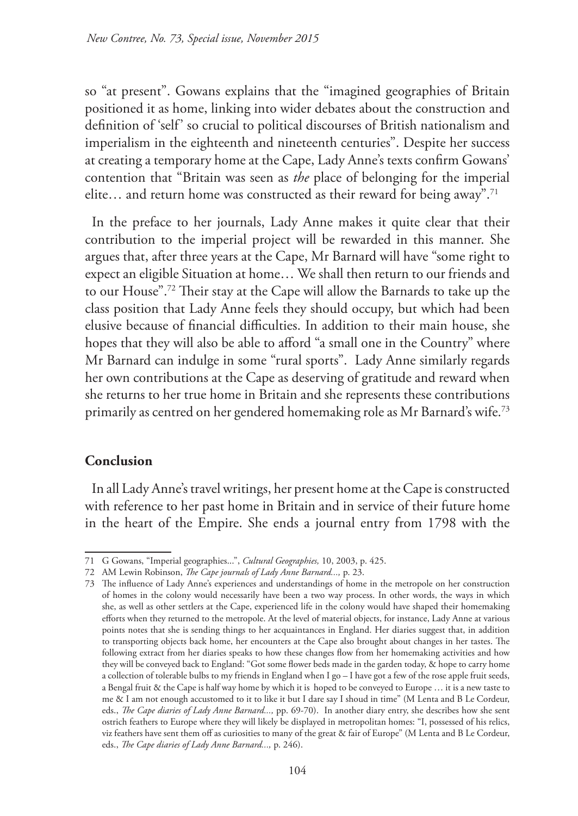so "at present". Gowans explains that the "imagined geographies of Britain positioned it as home, linking into wider debates about the construction and definition of 'self' so crucial to political discourses of British nationalism and imperialism in the eighteenth and nineteenth centuries". Despite her success at creating a temporary home at the Cape, Lady Anne's texts confirm Gowans' contention that "Britain was seen as *the* place of belonging for the imperial elite... and return home was constructed as their reward for being away".<sup>71</sup>

In the preface to her journals, Lady Anne makes it quite clear that their contribution to the imperial project will be rewarded in this manner. She argues that, after three years at the Cape, Mr Barnard will have "some right to expect an eligible Situation at home… We shall then return to our friends and to our House".72 Their stay at the Cape will allow the Barnards to take up the class position that Lady Anne feels they should occupy, but which had been elusive because of financial difficulties. In addition to their main house, she hopes that they will also be able to afford "a small one in the Country" where Mr Barnard can indulge in some "rural sports". Lady Anne similarly regards her own contributions at the Cape as deserving of gratitude and reward when she returns to her true home in Britain and she represents these contributions primarily as centred on her gendered homemaking role as Mr Barnard's wife.73

# **Conclusion**

In all Lady Anne's travel writings, her present home at the Cape is constructed with reference to her past home in Britain and in service of their future home in the heart of the Empire. She ends a journal entry from 1798 with the

<sup>71</sup> G Gowans, "Imperial geographies...", *Cultural Geographies,* 10, 2003, p. 425.

<sup>72</sup> AM Lewin Robinson, *The Cape journals of Lady Anne Barnard...,* p. 23.

<sup>73</sup> The influence of Lady Anne's experiences and understandings of home in the metropole on her construction of homes in the colony would necessarily have been a two way process. In other words, the ways in which she, as well as other settlers at the Cape, experienced life in the colony would have shaped their homemaking efforts when they returned to the metropole. At the level of material objects, for instance, Lady Anne at various points notes that she is sending things to her acquaintances in England. Her diaries suggest that, in addition to transporting objects back home, her encounters at the Cape also brought about changes in her tastes. The following extract from her diaries speaks to how these changes flow from her homemaking activities and how they will be conveyed back to England: "Got some flower beds made in the garden today, & hope to carry home a collection of tolerable bulbs to my friends in England when I go – I have got a few of the rose apple fruit seeds, a Bengal fruit & the Cape is half way home by which it is hoped to be conveyed to Europe … it is a new taste to me & I am not enough accustomed to it to like it but I dare say I shoud in time" (M Lenta and B Le Cordeur, eds., *The Cape diaries of Lady Anne Barnard...,* pp. 69-70). In another diary entry, she describes how she sent ostrich feathers to Europe where they will likely be displayed in metropolitan homes: "I, possessed of his relics, viz feathers have sent them off as curiosities to many of the great & fair of Europe" (M Lenta and B Le Cordeur, eds., *The Cape diaries of Lady Anne Barnard...,* p. 246).